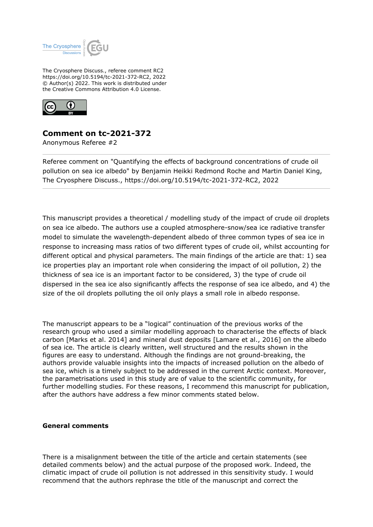

The Cryosphere Discuss., referee comment RC2 https://doi.org/10.5194/tc-2021-372-RC2, 2022 © Author(s) 2022. This work is distributed under the Creative Commons Attribution 4.0 License.



## **Comment on tc-2021-372**

Anonymous Referee #2

Referee comment on "Quantifying the effects of background concentrations of crude oil pollution on sea ice albedo" by Benjamin Heikki Redmond Roche and Martin Daniel King, The Cryosphere Discuss., https://doi.org/10.5194/tc-2021-372-RC2, 2022

This manuscript provides a theoretical / modelling study of the impact of crude oil droplets on sea ice albedo. The authors use a coupled atmosphere-snow/sea ice radiative transfer model to simulate the wavelength-dependent albedo of three common types of sea ice in response to increasing mass ratios of two different types of crude oil, whilst accounting for different optical and physical parameters. The main findings of the article are that: 1) sea ice properties play an important role when considering the impact of oil pollution, 2) the thickness of sea ice is an important factor to be considered, 3) the type of crude oil dispersed in the sea ice also significantly affects the response of sea ice albedo, and 4) the size of the oil droplets polluting the oil only plays a small role in albedo response.

The manuscript appears to be a "logical" continuation of the previous works of the research group who used a similar modelling approach to characterise the effects of black carbon [Marks et al. 2014] and mineral dust deposits [Lamare et al., 2016] on the albedo of sea ice. The article is clearly written, well structured and the results shown in the figures are easy to understand. Although the findings are not ground-breaking, the authors provide valuable insights into the impacts of increased pollution on the albedo of sea ice, which is a timely subject to be addressed in the current Arctic context. Moreover, the parametrisations used in this study are of value to the scientific community, for further modelling studies. For these reasons, I recommend this manuscript for publication, after the authors have address a few minor comments stated below.

## **General comments**

There is a misalignment between the title of the article and certain statements (see detailed comments below) and the actual purpose of the proposed work. Indeed, the climatic impact of crude oil pollution is not addressed in this sensitivity study. I would recommend that the authors rephrase the title of the manuscript and correct the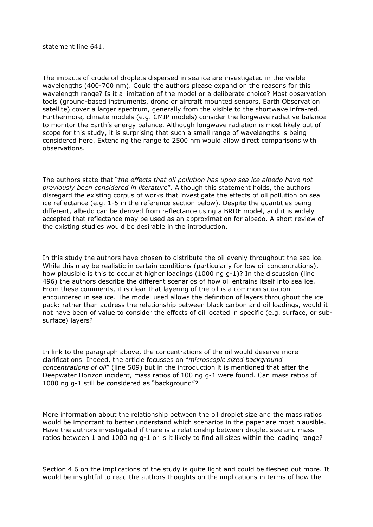statement line 641.

The impacts of crude oil droplets dispersed in sea ice are investigated in the visible wavelengths (400-700 nm). Could the authors please expand on the reasons for this wavelength range? Is it a limitation of the model or a deliberate choice? Most observation tools (ground-based instruments, drone or aircraft mounted sensors, Earth Observation satellite) cover a larger spectrum, generally from the visible to the shortwave infra-red. Furthermore, climate models (e.g. CMIP models) consider the longwave radiative balance to monitor the Earth's energy balance. Although longwave radiation is most likely out of scope for this study, it is surprising that such a small range of wavelengths is being considered here. Extending the range to 2500 nm would allow direct comparisons with observations.

The authors state that "*the effects that oil pollution has upon sea ice albedo have not previously been considered in literature*". Although this statement holds, the authors disregard the existing corpus of works that investigate the effects of oil pollution on sea ice reflectance (e.g. 1-5 in the reference section below). Despite the quantities being different, albedo can be derived from reflectance using a BRDF model, and it is widely accepted that reflectance may be used as an approximation for albedo. A short review of the existing studies would be desirable in the introduction.

In this study the authors have chosen to distribute the oil evenly throughout the sea ice. While this may be realistic in certain conditions (particularly for low oil concentrations), how plausible is this to occur at higher loadings (1000 ng g-1)? In the discussion (line 496) the authors describe the different scenarios of how oil entrains itself into sea ice. From these comments, it is clear that layering of the oil is a common situation encountered in sea ice. The model used allows the definition of layers throughout the ice pack: rather than address the relationship between black carbon and oil loadings, would it not have been of value to consider the effects of oil located in specific (e.g. surface, or subsurface) layers?

In link to the paragraph above, the concentrations of the oil would deserve more clarifications. Indeed, the article focusses on "*microscopic sized background concentrations of oil*" (line 509) but in the introduction it is mentioned that after the Deepwater Horizon incident, mass ratios of 100 ng g-1 were found. Can mass ratios of 1000 ng g-1 still be considered as "background"?

More information about the relationship between the oil droplet size and the mass ratios would be important to better understand which scenarios in the paper are most plausible. Have the authors investigated if there is a relationship between droplet size and mass ratios between 1 and 1000 ng g-1 or is it likely to find all sizes within the loading range?

Section 4.6 on the implications of the study is quite light and could be fleshed out more. It would be insightful to read the authors thoughts on the implications in terms of how the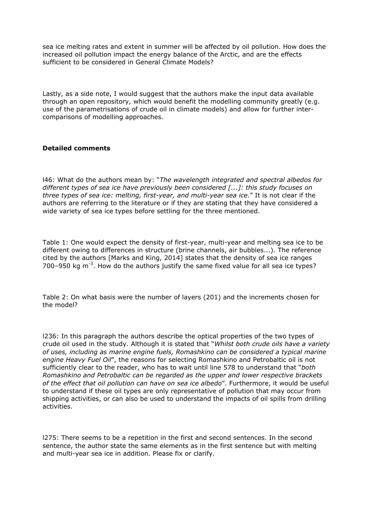sea ice melting rates and extent in summer will be affected by oil pollution. How does the increased oil pollution impact the energy balance of the Arctic, and are the effects sufficient to be considered in General Climate Models?

Lastly, as a side note, I would suggest that the authors make the input data available through an open repository, which would benefit the modelling community greatly (e.g. use of the parametrisations of crude oil in climate models) and allow for further intercomparisons of modelling approaches.

## **Detailed comments**

l46: What do the authors mean by: "*The wavelength integrated and spectral albedos for different types of sea ice have previously been considered [...]: this study focuses on three types of sea ice: melting, first-year, and multi-year sea ice.*" It is not clear if the authors are referring to the literature or if they are stating that they have considered a wide variety of sea ice types before settling for the three mentioned.

Table 1: One would expect the density of first-year, multi-year and melting sea ice to be different owing to differences in structure (brine channels, air bubbles...). The reference cited by the authors [Marks and King, 2014] states that the density of sea ice ranges 700–950 kg  $m^{-3}$ . How do the authors justify the same fixed value for all sea ice types?

Table 2: On what basis were the number of layers (201) and the increments chosen for the model?

l236: In this paragraph the authors describe the optical properties of the two types of crude oil used in the study. Although it is stated that "*Whilst both crude oils have a variety of uses, including as marine engine fuels, Romashkino can be considered a typical marine engine Heavy Fuel Oil*", the reasons for selecting Romashkino and Petrobaltic oil is not sufficiently clear to the reader, who has to wait until line 578 to understand that "*both Romashkino and Petrobaltic can be regarded as the upper and lower respective brackets of the effect that oil pollution can have on sea ice albedo*". Furthermore, it would be useful to understand if these oil types are only representative of pollution that may occur from shipping activities, or can also be used to understand the impacts of oil spills from drilling activities.

l275: There seems to be a repetition in the first and second sentences. In the second sentence, the author state the same elements as in the first sentence but with melting and multi-year sea ice in addition. Please fix or clarify.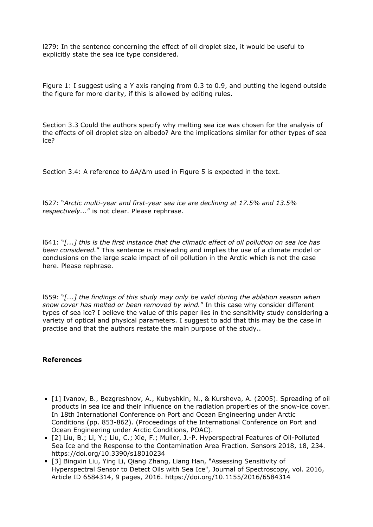l279: In the sentence concerning the effect of oil droplet size, it would be useful to explicitly state the sea ice type considered.

Figure 1: I suggest using a Y axis ranging from 0.3 to 0.9, and putting the legend outside the figure for more clarity, if this is allowed by editing rules.

Section 3.3 Could the authors specify why melting sea ice was chosen for the analysis of the effects of oil droplet size on albedo? Are the implications similar for other types of sea ice?

Section 3.4: A reference to ΔA/Δm used in Figure 5 is expected in the text.

l627: "*Arctic multi-year and first-year sea ice are declining at 17.5% and 13.5% respectively...*" is not clear. Please rephrase.

l641: "*[...] this is the first instance that the climatic effect of oil pollution on sea ice has been considered.*" This sentence is misleading and implies the use of a climate model or conclusions on the large scale impact of oil pollution in the Arctic which is not the case here. Please rephrase.

l659: "*[...] the findings of this study may only be valid during the ablation season when snow cover has melted or been removed by wind.*" In this case why consider different types of sea ice? I believe the value of this paper lies in the sensitivity study considering a variety of optical and physical parameters. I suggest to add that this may be the case in practise and that the authors restate the main purpose of the study..

## **References**

- [1] Ivanov, B., Bezgreshnov, A., Kubyshkin, N., & Kursheva, A. (2005). Spreading of oil products in sea ice and their influence on the radiation properties of the snow-ice cover. In 18th International Conference on Port and Ocean Engineering under Arctic Conditions (pp. 853-862). (Proceedings of the International Conference on Port and Ocean Engineering under Arctic Conditions, POAC).
- [2] Liu, B.; Li, Y.; Liu, C.; Xie, F.; Muller, J.-P. Hyperspectral Features of Oil-Polluted Sea Ice and the Response to the Contamination Area Fraction. Sensors 2018, 18, 234. https://doi.org/10.3390/s18010234
- [3] Bingxin Liu, Ying Li, Qiang Zhang, Liang Han, "Assessing Sensitivity of Hyperspectral Sensor to Detect Oils with Sea Ice", Journal of Spectroscopy, vol. 2016, Article ID 6584314, 9 pages, 2016. https://doi.org/10.1155/2016/6584314